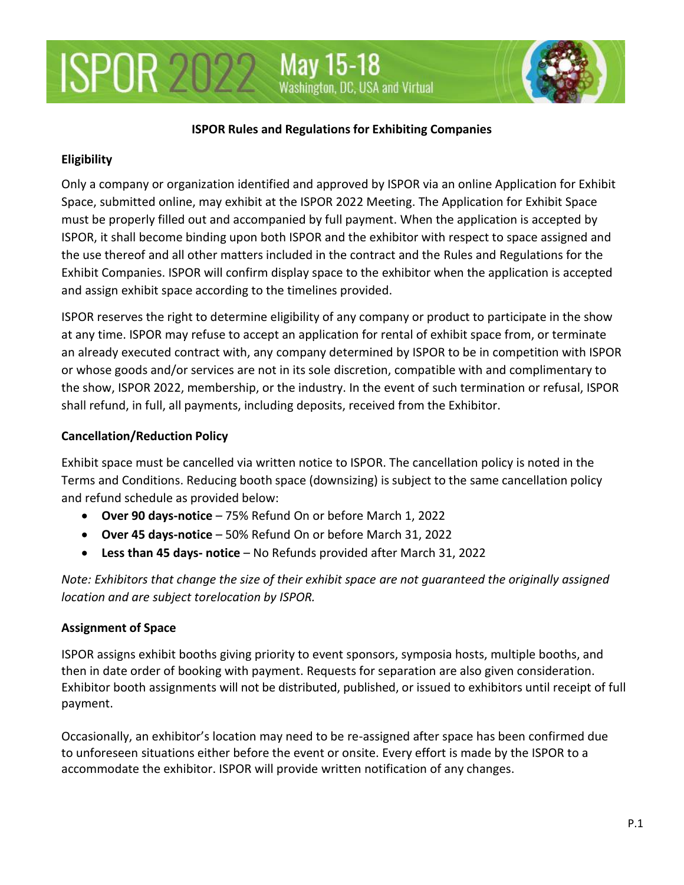#### **ISPOR Rules and Regulations for Exhibiting Companies**

#### **Eligibility**

Only a company or organization identified and approved by ISPOR via an online Application for Exhibit Space, submitted online, may exhibit at the ISPOR 2022 Meeting. The Application for Exhibit Space must be properly filled out and accompanied by full payment. When the application is accepted by ISPOR, it shall become binding upon both ISPOR and the exhibitor with respect to space assigned and the use thereof and all other matters included in the contract and the Rules and Regulations for the Exhibit Companies. ISPOR will confirm display space to the exhibitor when the application is accepted and assign exhibit space according to the timelines provided.

ISPOR reserves the right to determine eligibility of any company or product to participate in the show at any time. ISPOR may refuse to accept an application for rental of exhibit space from, or terminate an already executed contract with, any company determined by ISPOR to be in competition with ISPOR or whose goods and/or services are not in its sole discretion, compatible with and complimentary to the show, ISPOR 2022, membership, or the industry. In the event of such termination or refusal, ISPOR shall refund, in full, all payments, including deposits, received from the Exhibitor.

#### **Cancellation/Reduction Policy**

Exhibit space must be cancelled via written notice to ISPOR. The cancellation policy is noted in the Terms and Conditions. Reducing booth space (downsizing) is subject to the same cancellation policy and refund schedule as provided below:

- **Over 90 days-notice**  75% Refund On or before March 1, 2022
- **Over 45 days-notice**  50% Refund On or before March 31, 2022
- **Less than 45 days- notice**  No Refunds provided after March 31, 2022

*Note: Exhibitors that change the size of their exhibit space are not guaranteed the originally assigned location and are subject torelocation by ISPOR.*

### **Assignment of Space**

ISPOR assigns exhibit booths giving priority to event sponsors, symposia hosts, multiple booths, and then in date order of booking with payment. Requests for separation are also given consideration. Exhibitor booth assignments will not be distributed, published, or issued to exhibitors until receipt of full payment.

Occasionally, an exhibitor's location may need to be re-assigned after space has been confirmed due to unforeseen situations either before the event or onsite. Every effort is made by the ISPOR to a accommodate the exhibitor. ISPOR will provide written notification of any changes.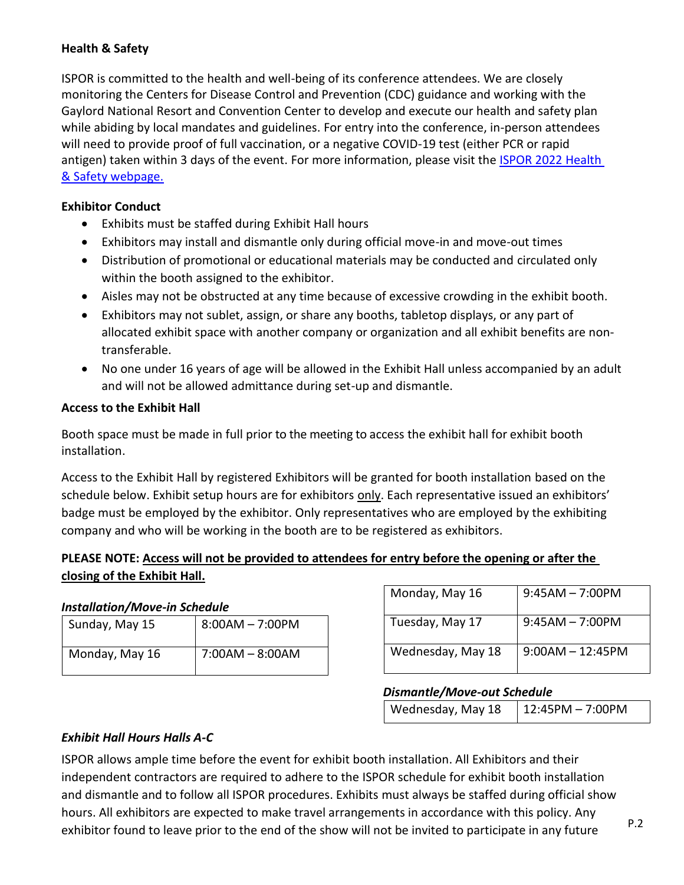## **Health & Safety**

ISPOR is committed to the health and well-being of its conference attendees. We are closely monitoring the Centers for Disease Control and Prevention (CDC) guidance and working with the Gaylord National Resort and Convention Center to develop and execute our health and safety plan while abiding by local mandates and guidelines. For entry into the conference, in-person attendees will need to provide proof of full vaccination, or a negative COVID-19 test (either PCR or rapid antigen) taken within 3 days of the event. For more information, please visit the ISPOR 2022 Health [& Safety webpage.](https://www.ispor.org/conferences-education/conferences/upcoming-conferences/ispor-2022/about/health-safety)

#### **Exhibitor Conduct**

- Exhibits must be staffed during Exhibit Hall hours
- Exhibitors may install and dismantle only during official move-in and move-out times
- Distribution of promotional or educational materials may be conducted and circulated only within the booth assigned to the exhibitor.
- Aisles may not be obstructed at any time because of excessive crowding in the exhibit booth.
- Exhibitors may not sublet, assign, or share any booths, tabletop displays, or any part of allocated exhibit space with another company or organization and all exhibit benefits are nontransferable.
- No one under 16 years of age will be allowed in the Exhibit Hall unless accompanied by an adult and will not be allowed admittance during set-up and dismantle.

#### **Access to the Exhibit Hall**

Booth space must be made in full prior to the meeting to access the exhibit hall for exhibit booth installation.

Access to the Exhibit Hall by registered Exhibitors will be granted for booth installation based on the schedule below. Exhibit setup hours are for exhibitors only. Each representative issued an exhibitors' badge must be employed by the exhibitor. Only representatives who are employed by the exhibiting company and who will be working in the booth are to be registered as exhibitors.

## **PLEASE NOTE: Access will not be provided to attendees for entry before the opening or after the closing of the Exhibit Hall.**

### *Installation/Move-in Schedule*

| Sunday, May 15 | $8:00AM - 7:00PM$ |
|----------------|-------------------|
| Monday, May 16 | $7:00AM - 8:00AM$ |

| Monday, May 16    | $9:45AM - 7:00PM$  |
|-------------------|--------------------|
| Tuesday, May 17   | $9:45AM - 7:00PM$  |
| Wednesday, May 18 | $9:00AM - 12:45PM$ |

### *Dismantle/Move-out Schedule*

| Wednesday, May 18 | $12:45PM - 7:00PM$ |
|-------------------|--------------------|
|-------------------|--------------------|

### *Exhibit Hall Hours Halls A-C*

ISPOR allows ample time before the event for exhibit booth installation. All Exhibitors and their independent contractors are required to adhere to the ISPOR schedule for exhibit booth installation and dismantle and to follow all ISPOR procedures. Exhibits must always be staffed during official show hours. All exhibitors are expected to make travel arrangements in accordance with this policy. Any exhibitor found to leave prior to the end of the show will not be invited to participate in any future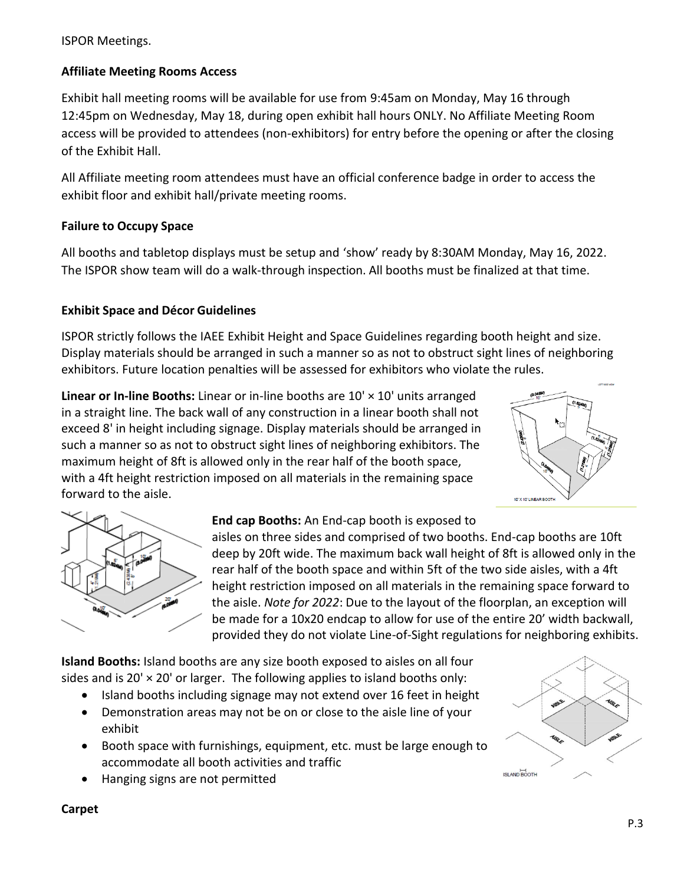ISPOR Meetings.

## **Affiliate Meeting Rooms Access**

Exhibit hall meeting rooms will be available for use from 9:45am on Monday, May 16 through 12:45pm on Wednesday, May 18, during open exhibit hall hours ONLY. No Affiliate Meeting Room access will be provided to attendees (non-exhibitors) for entry before the opening or after the closing of the Exhibit Hall.

All Affiliate meeting room attendees must have an official conference badge in order to access the exhibit floor and exhibit hall/private meeting rooms.

### **Failure to Occupy Space**

All booths and tabletop displays must be setup and 'show' ready by 8:30AM Monday, May 16, 2022. The ISPOR show team will do a walk-through inspection. All booths must be finalized at that time.

## **Exhibit Space and Décor Guidelines**

ISPOR strictly follows the IAEE Exhibit Height and Space Guidelines regarding booth height and size. Display materials should be arranged in such a manner so as not to obstruct sight lines of neighboring exhibitors. Future location penalties will be assessed for exhibitors who violate the rules.

**Linear or In-line Booths:** Linear or in-line booths are 10' × 10' units arranged in a straight line. The back wall of any construction in a linear booth shall not exceed 8' in height including signage. Display materials should be arranged in such a manner so as not to obstruct sight lines of neighboring exhibitors. The maximum height of 8ft is allowed only in the rear half of the booth space, with a 4ft height restriction imposed on all materials in the remaining space forward to the aisle.





# **End cap Booths:** An End-cap booth is exposed to

aisles on three sides and comprised of two booths. End-cap booths are 10ft deep by 20ft wide. The maximum back wall height of 8ft is allowed only in the rear half of the booth space and within 5ft of the two side aisles, with a 4ft height restriction imposed on all materials in the remaining space forward to the aisle. *Note for 2022*: Due to the layout of the floorplan, an exception will be made for a 10x20 endcap to allow for use of the entire 20' width backwall, provided they do not violate Line-of-Sight regulations for neighboring exhibits.

**Island Booths:** Island booths are any size booth exposed to aisles on all four sides and is 20'  $\times$  20' or larger. The following applies to island booths only:

- Island booths including signage may not extend over 16 feet in height
- Demonstration areas may not be on or close to the aisle line of your exhibit
- Booth space with furnishings, equipment, etc. must be large enough to accommodate all booth activities and traffic
- Hanging signs are not permitted



### **Carpet**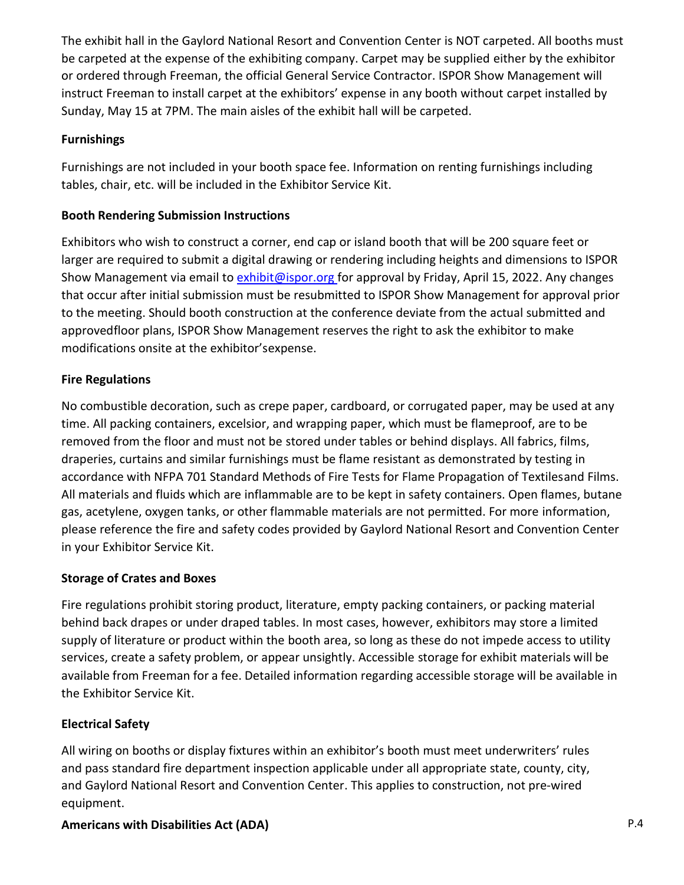The exhibit hall in the Gaylord National Resort and Convention Center is NOT carpeted. All booths must be carpeted at the expense of the exhibiting company. Carpet may be supplied either by the exhibitor or ordered through Freeman, the official General Service Contractor. ISPOR Show Management will instruct Freeman to install carpet at the exhibitors' expense in any booth without carpet installed by Sunday, May 15 at 7PM. The main aisles of the exhibit hall will be carpeted.

### **Furnishings**

Furnishings are not included in your booth space fee. Information on renting furnishings including tables, chair, etc. will be included in the Exhibitor Service Kit.

### **Booth Rendering Submission Instructions**

Exhibitors who wish to construct a corner, end cap or island booth that will be 200 square feet or larger are required to submit a digital drawing or rendering including heights and dimensions to ISPOR Show Management via email to [exhibit@ispor.org f](mailto:exhibit@ispor.org)or approval by Friday, April 15, 2022. Any changes that occur after initial submission must be resubmitted to ISPOR Show Management for approval prior to the meeting. Should booth construction at the conference deviate from the actual submitted and approvedfloor plans, ISPOR Show Management reserves the right to ask the exhibitor to make modifications onsite at the exhibitor'sexpense.

### **Fire Regulations**

No combustible decoration, such as crepe paper, cardboard, or corrugated paper, may be used at any time. All packing containers, excelsior, and wrapping paper, which must be flameproof, are to be removed from the floor and must not be stored under tables or behind displays. All fabrics, films, draperies, curtains and similar furnishings must be flame resistant as demonstrated by testing in accordance with NFPA 701 Standard Methods of Fire Tests for Flame Propagation of Textilesand Films. All materials and fluids which are inflammable are to be kept in safety containers. Open flames, butane gas, acetylene, oxygen tanks, or other flammable materials are not permitted. For more information, please reference the fire and safety codes provided by Gaylord National Resort and Convention Center in your Exhibitor Service Kit.

### **Storage of Crates and Boxes**

Fire regulations prohibit storing product, literature, empty packing containers, or packing material behind back drapes or under draped tables. In most cases, however, exhibitors may store a limited supply of literature or product within the booth area, so long as these do not impede access to utility services, create a safety problem, or appear unsightly. Accessible storage for exhibit materials will be available from Freeman for a fee. Detailed information regarding accessible storage will be available in the Exhibitor Service Kit.

### **Electrical Safety**

All wiring on booths or display fixtures within an exhibitor's booth must meet underwriters' rules and pass standard fire department inspection applicable under all appropriate state, county, city, and Gaylord National Resort and Convention Center. This applies to construction, not pre‐wired equipment.

# **Americans with Disabilities Act (ADA)**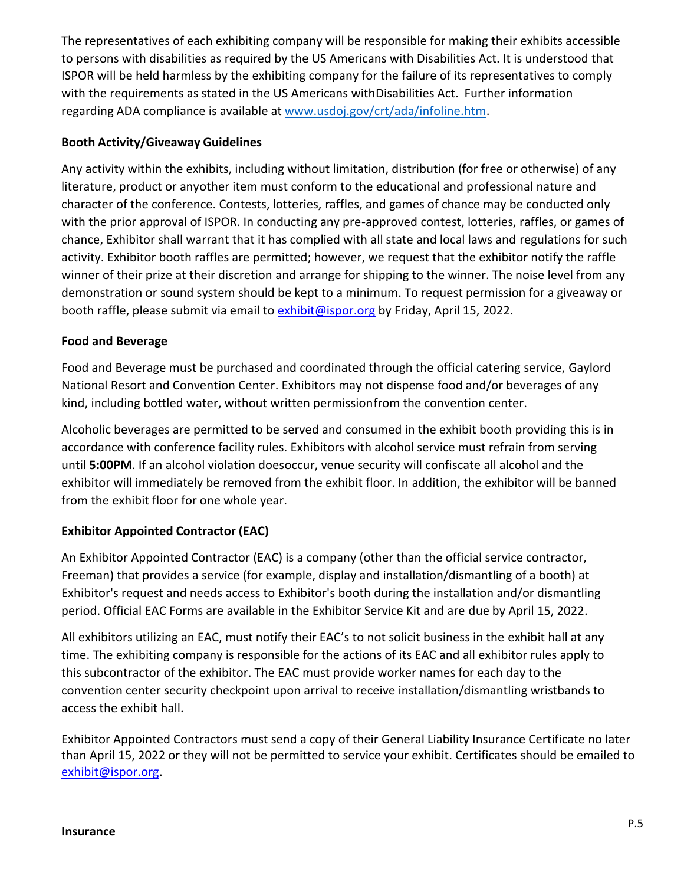The representatives of each exhibiting company will be responsible for making their exhibits accessible to persons with disabilities as required by the US Americans with Disabilities Act. It is understood that ISPOR will be held harmless by the exhibiting company for the failure of its representatives to comply with the requirements as stated in the US Americans withDisabilities Act. Further information regarding ADA compliance is available at [www.usdoj.gov/crt/ada/infoline.htm.](about:blank)

### **Booth Activity/Giveaway Guidelines**

Any activity within the exhibits, including without limitation, distribution (for free or otherwise) of any literature, product or anyother item must conform to the educational and professional nature and character of the conference. Contests, lotteries, raffles, and games of chance may be conducted only with the prior approval of ISPOR. In conducting any pre-approved contest, lotteries, raffles, or games of chance, Exhibitor shall warrant that it has complied with all state and local laws and regulations for such activity. Exhibitor booth raffles are permitted; however, we request that the exhibitor notify the raffle winner of their prize at their discretion and arrange for shipping to the winner. The noise level from any demonstration or sound system should be kept to a minimum. To request permission for a giveaway or booth raffle, please submit via email to [exhibit@ispor.org](mailto:exhibit@ispor.org) by Friday, April 15, 2022.

## **Food and Beverage**

Food and Beverage must be purchased and coordinated through the official catering service, Gaylord National Resort and Convention Center. Exhibitors may not dispense food and/or beverages of any kind, including bottled water, without written permissionfrom the convention center.

Alcoholic beverages are permitted to be served and consumed in the exhibit booth providing this is in accordance with conference facility rules. Exhibitors with alcohol service must refrain from serving until **5:00PM**. If an alcohol violation doesoccur, venue security will confiscate all alcohol and the exhibitor will immediately be removed from the exhibit floor. In addition, the exhibitor will be banned from the exhibit floor for one whole year.

# **Exhibitor Appointed Contractor (EAC)**

An Exhibitor Appointed Contractor (EAC) is a company (other than the official service contractor, Freeman) that provides a service (for example, display and installation/dismantling of a booth) at Exhibitor's request and needs access to Exhibitor's booth during the installation and/or dismantling period. Official EAC Forms are available in the Exhibitor Service Kit and are due by April 15, 2022.

All exhibitors utilizing an EAC, must notify their EAC's to not solicit business in the exhibit hall at any time. The exhibiting company is responsible for the actions of its EAC and all exhibitor rules apply to this subcontractor of the exhibitor. The EAC must provide worker names for each day to the convention center security checkpoint upon arrival to receive installation/dismantling wristbands to access the exhibit hall.

Exhibitor Appointed Contractors must send a copy of their General Liability Insurance Certificate no later than April 15, 2022 or they will not be permitted to service your exhibit. Certificates should be emailed to [exhibit@ispor.org.](mailto:exhibit@ispor.org)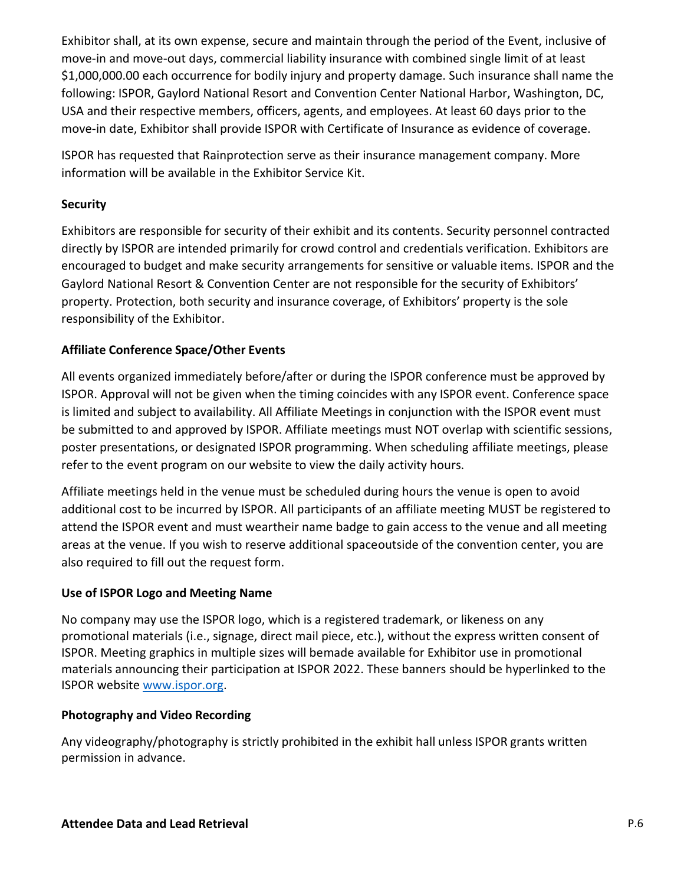Exhibitor shall, at its own expense, secure and maintain through the period of the Event, inclusive of move-in and move-out days, commercial liability insurance with combined single limit of at least \$1,000,000.00 each occurrence for bodily injury and property damage. Such insurance shall name the following: ISPOR, Gaylord National Resort and Convention Center National Harbor, Washington, DC, USA and their respective members, officers, agents, and employees. At least 60 days prior to the move-in date, Exhibitor shall provide ISPOR with Certificate of Insurance as evidence of coverage.

ISPOR has requested that Rainprotection serve as their insurance management company. More information will be available in the Exhibitor Service Kit.

### **Security**

Exhibitors are responsible for security of their exhibit and its contents. Security personnel contracted directly by ISPOR are intended primarily for crowd control and credentials verification. Exhibitors are encouraged to budget and make security arrangements for sensitive or valuable items. ISPOR and the Gaylord National Resort & Convention Center are not responsible for the security of Exhibitors' property. Protection, both security and insurance coverage, of Exhibitors' property is the sole responsibility of the Exhibitor.

## **Affiliate Conference Space/Other Events**

All events organized immediately before/after or during the ISPOR conference must be approved by ISPOR. Approval will not be given when the timing coincides with any ISPOR event. Conference space is limited and subject to availability. All Affiliate Meetings in conjunction with the ISPOR event must be submitted to and approved by ISPOR. Affiliate meetings must NOT overlap with scientific sessions, poster presentations, or designated ISPOR programming. When scheduling affiliate meetings, please refer to the event program on our website to view the daily activity hours.

Affiliate meetings held in the venue must be scheduled during hours the venue is open to avoid additional cost to be incurred by ISPOR. All participants of an affiliate meeting MUST be registered to attend the ISPOR event and must weartheir name badge to gain access to the venue and all meeting areas at the venue. If you wish to reserve additional spaceoutside of the convention center, you are also required to fill out the request form.

### **Use of ISPOR Logo and Meeting Name**

No company may use the ISPOR logo, which is a registered trademark, or likeness on any promotional materials (i.e., signage, direct mail piece, etc.), without the express written consent of ISPOR. Meeting graphics in multiple sizes will bemade available for Exhibitor use in promotional materials announcing their participation at ISPOR 2022. These banners should be hyperlinked to the ISPOR website [www.ispor.org.](about:blank)

### **Photography and Video Recording**

Any videography/photography is strictly prohibited in the exhibit hall unless ISPOR grants written permission in advance.